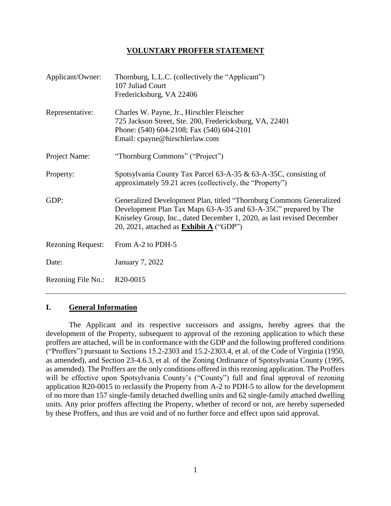#### **VOLUNTARY PROFFER STATEMENT**

| Applicant/Owner:         | Thornburg, L.L.C. (collectively the "Applicant")<br>107 Juliad Court                                                                                                                                                                                               |  |  |
|--------------------------|--------------------------------------------------------------------------------------------------------------------------------------------------------------------------------------------------------------------------------------------------------------------|--|--|
|                          | Fredericksburg, VA 22406                                                                                                                                                                                                                                           |  |  |
| Representative:          | Charles W. Payne, Jr., Hirschler Fleischer<br>725 Jackson Street, Ste. 200, Fredericksburg, VA, 22401<br>Phone: (540) 604-2108; Fax (540) 604-2101<br>Email: cpayne@hirschlerlaw.com                                                                               |  |  |
| Project Name:            | "Thornburg Commons" ("Project")                                                                                                                                                                                                                                    |  |  |
| Property:                | Spotsylvania County Tax Parcel 63-A-35 & 63-A-35C, consisting of<br>approximately 59.21 acres (collectively, the "Property")                                                                                                                                       |  |  |
| GDP:                     | Generalized Development Plan, titled "Thornburg Commons Generalized<br>Development Plan Tax Maps 63-A-35 and 63-A-35C" prepared by The<br>Kniseley Group, Inc., dated December 1, 2020, as last revised December<br>20, 2021, attached as <b>Exhibit A</b> ("GDP") |  |  |
| <b>Rezoning Request:</b> | From A-2 to PDH-5                                                                                                                                                                                                                                                  |  |  |
| Date:                    | <b>January 7, 2022</b>                                                                                                                                                                                                                                             |  |  |
| Rezoning File No.:       | R20-0015                                                                                                                                                                                                                                                           |  |  |

#### **I. General Information**

The Applicant and its respective successors and assigns, hereby agrees that the development of the Property, subsequent to approval of the rezoning application to which these proffers are attached, will be in conformance with the GDP and the following proffered conditions ("Proffers") pursuant to Sections 15.2-2303 and 15.2-2303.4, et al. of the Code of Virginia (1950, as amended), and Section 23-4.6.3, et al. of the Zoning Ordinance of Spotsylvania County (1995, as amended). The Proffers are the only conditions offered in this rezoning application. The Proffers will be effective upon Spotsylvania County's ("County") full and final approval of rezoning application R20-0015 to reclassify the Property from A-2 to PDH-5 to allow for the development of no more than 157 single-family detached dwelling units and 62 single-family attached dwelling units. Any prior proffers affecting the Property, whether of record or not, are hereby superseded by these Proffers, and thus are void and of no further force and effect upon said approval.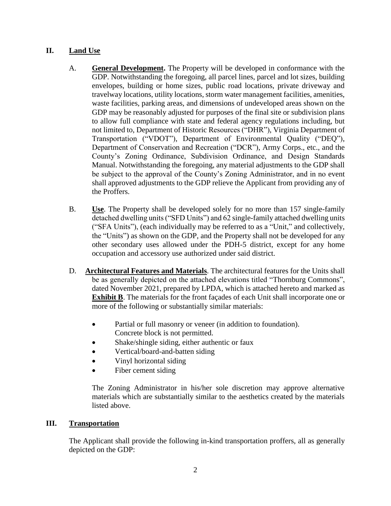# **II. Land Use**

- A. **General Development.** The Property will be developed in conformance with the GDP. Notwithstanding the foregoing, all parcel lines, parcel and lot sizes, building envelopes, building or home sizes, public road locations, private driveway and travelway locations, utility locations, storm water management facilities, amenities, waste facilities, parking areas, and dimensions of undeveloped areas shown on the GDP may be reasonably adjusted for purposes of the final site or subdivision plans to allow full compliance with state and federal agency regulations including, but not limited to, Department of Historic Resources ("DHR"), Virginia Department of Transportation ("VDOT"), Department of Environmental Quality ("DEQ"), Department of Conservation and Recreation ("DCR"), Army Corps., etc., and the County's Zoning Ordinance, Subdivision Ordinance, and Design Standards Manual. Notwithstanding the foregoing, any material adjustments to the GDP shall be subject to the approval of the County's Zoning Administrator, and in no event shall approved adjustments to the GDP relieve the Applicant from providing any of the Proffers.
- B. **Use**. The Property shall be developed solely for no more than 157 single-family detached dwelling units ("SFD Units") and 62 single-family attached dwelling units ("SFA Units"), (each individually may be referred to as a "Unit," and collectively, the "Units") as shown on the GDP, and the Property shall not be developed for any other secondary uses allowed under the PDH-5 district, except for any home occupation and accessory use authorized under said district.
- D. **Architectural Features and Materials**. The architectural features for the Units shall be as generally depicted on the attached elevations titled "Thornburg Commons", dated November 2021, prepared by LPDA, which is attached hereto and marked as **Exhibit B**. The materials for the front façades of each Unit shall incorporate one or more of the following or substantially similar materials:
	- Partial or full masonry or veneer (in addition to foundation). Concrete block is not permitted.
	- Shake/shingle siding, either authentic or faux
	- Vertical/board-and-batten siding
	- Vinyl horizontal siding
	- Fiber cement siding

The Zoning Administrator in his/her sole discretion may approve alternative materials which are substantially similar to the aesthetics created by the materials listed above.

## **III. Transportation**

The Applicant shall provide the following in-kind transportation proffers, all as generally depicted on the GDP: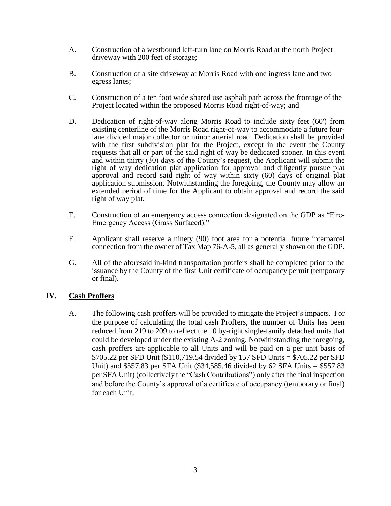- A. Construction of a westbound left-turn lane on Morris Road at the north Project driveway with 200 feet of storage;
- B. Construction of a site driveway at Morris Road with one ingress lane and two egress lanes;
- C. Construction of a ten foot wide shared use asphalt path across the frontage of the Project located within the proposed Morris Road right-of-way; and
- D. Dedication of right-of-way along Morris Road to include sixty feet (60') from existing centerline of the Morris Road right-of-way to accommodate a future fourlane divided major collector or minor arterial road. Dedication shall be provided with the first subdivision plat for the Project, except in the event the County requests that all or part of the said right of way be dedicated sooner. In this event and within thirty (30) days of the County's request, the Applicant will submit the right of way dedication plat application for approval and diligently pursue plat approval and record said right of way within sixty (60) days of original plat application submission. Notwithstanding the foregoing, the County may allow an extended period of time for the Applicant to obtain approval and record the said right of way plat.
- E. Construction of an emergency access connection designated on the GDP as "Fire-Emergency Access (Grass Surfaced)."
- F. Applicant shall reserve a ninety (90) foot area for a potential future interparcel connection from the owner of Tax Map 76-A-5, all as generally shown on the GDP.
- G. All of the aforesaid in-kind transportation proffers shall be completed prior to the issuance by the County of the first Unit certificate of occupancy permit (temporary or final).

## **IV. Cash Proffers**

A. The following cash proffers will be provided to mitigate the Project's impacts. For the purpose of calculating the total cash Proffers, the number of Units has been reduced from 219 to 209 to reflect the 10 by-right single-family detached units that could be developed under the existing A-2 zoning. Notwithstanding the foregoing, cash proffers are applicable to all Units and will be paid on a per unit basis of \$705.22 per SFD Unit (\$110,719.54 divided by 157 SFD Units = \$705.22 per SFD Unit) and \$557.83 per SFA Unit (\$34,585.46 divided by 62 SFA Units = \$557.83 per SFA Unit) (collectively the "Cash Contributions") only after the final inspection and before the County's approval of a certificate of occupancy (temporary or final) for each Unit.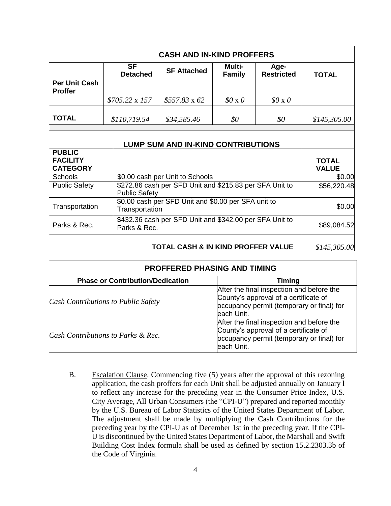| <b>CASH AND IN-KIND PROFFERS</b>                    |                              |                                                                       |                                |                           |                              |  |
|-----------------------------------------------------|------------------------------|-----------------------------------------------------------------------|--------------------------------|---------------------------|------------------------------|--|
|                                                     | <b>SF</b><br><b>Detached</b> | <b>SF Attached</b>                                                    | <b>Multi-</b><br><b>Family</b> | Age-<br><b>Restricted</b> | <b>TOTAL</b>                 |  |
| Per Unit Cash<br><b>Proffer</b>                     |                              |                                                                       |                                |                           |                              |  |
|                                                     | $$705.22 \times 157$         | $$557.83 \times 62$                                                   | $$0 \times 0$                  | $$0 \times 0$             |                              |  |
| <b>TOTAL</b>                                        | \$110,719.54                 | \$34,585.46                                                           | \$0                            | \$0                       | \$145,305.00                 |  |
|                                                     |                              | <b>LUMP SUM AND IN-KIND CONTRIBUTIONS</b>                             |                                |                           |                              |  |
| <b>PUBLIC</b><br><b>FACILITY</b><br><b>CATEGORY</b> |                              |                                                                       |                                |                           | <b>TOTAL</b><br><b>VALUE</b> |  |
| <b>Schools</b>                                      |                              | \$0.00 cash per Unit to Schools                                       |                                |                           | \$0.00                       |  |
| <b>Public Safety</b>                                | <b>Public Safety</b>         | \$272.86 cash per SFD Unit and \$215.83 per SFA Unit to               |                                |                           | \$56,220.48                  |  |
| Transportation                                      |                              | \$0.00 cash per SFD Unit and \$0.00 per SFA unit to<br>Transportation |                                |                           | \$0.00                       |  |
| Parks & Rec.                                        | Parks & Rec.                 | \$432.36 cash per SFD Unit and \$342.00 per SFA Unit to               |                                |                           | \$89,084.52                  |  |
|                                                     |                              | TOTAL CASH & IN KIND PROFFER VALUE                                    |                                |                           | \$145,305.00                 |  |

| <b>PROFFERED PHASING AND TIMING</b>     |                                                                                                                                               |  |  |  |  |
|-----------------------------------------|-----------------------------------------------------------------------------------------------------------------------------------------------|--|--|--|--|
| <b>Phase or Contribution/Dedication</b> | <b>Timing</b>                                                                                                                                 |  |  |  |  |
| Cash Contributions to Public Safety     | After the final inspection and before the<br>County's approval of a certificate of<br>occupancy permit (temporary or final) for<br>each Unit. |  |  |  |  |
| Cash Contributions to Parks & Rec.      | After the final inspection and before the<br>County's approval of a certificate of<br>occupancy permit (temporary or final) for<br>each Unit. |  |  |  |  |

B. Escalation Clause. Commencing five (5) years after the approval of this rezoning application, the cash proffers for each Unit shall be adjusted annually on January l to reflect any increase for the preceding year in the Consumer Price Index, U.S. City Average, All Urban Consumers (the "CPI-U") prepared and reported monthly by the U.S. Bureau of Labor Statistics of the United States Department of Labor. The adjustment shall be made by multiplying the Cash Contributions for the preceding year by the CPI-U as of December 1st in the preceding year. If the CPI-U is discontinued by the United States Department of Labor, the Marshall and Swift Building Cost Index formula shall be used as defined by section 15.2.2303.3b of the Code of Virginia.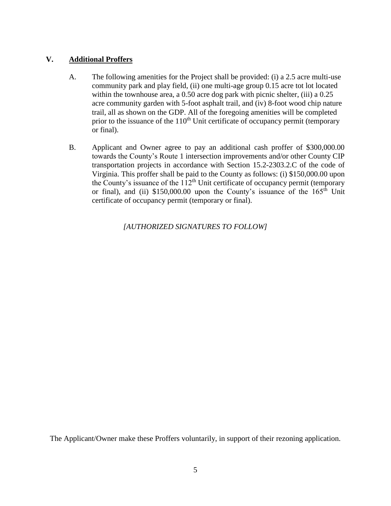## **V. Additional Proffers**

- A. The following amenities for the Project shall be provided: (i) a 2.5 acre multi-use community park and play field, (ii) one multi-age group 0.15 acre tot lot located within the townhouse area, a 0.50 acre dog park with picnic shelter, (iii) a 0.25 acre community garden with 5-foot asphalt trail, and (iv) 8-foot wood chip nature trail, all as shown on the GDP. All of the foregoing amenities will be completed prior to the issuance of the  $110<sup>th</sup>$  Unit certificate of occupancy permit (temporary or final).
- B. Applicant and Owner agree to pay an additional cash proffer of \$300,000.00 towards the County's Route 1 intersection improvements and/or other County CIP transportation projects in accordance with Section 15.2-2303.2.C of the code of Virginia. This proffer shall be paid to the County as follows: (i) \$150,000.00 upon the County's issuance of the  $112<sup>th</sup>$  Unit certificate of occupancy permit (temporary or final), and (ii)  $$150,000.00$  upon the County's issuance of the  $165<sup>th</sup>$  Unit certificate of occupancy permit (temporary or final).

*[AUTHORIZED SIGNATURES TO FOLLOW]*

The Applicant/Owner make these Proffers voluntarily, in support of their rezoning application.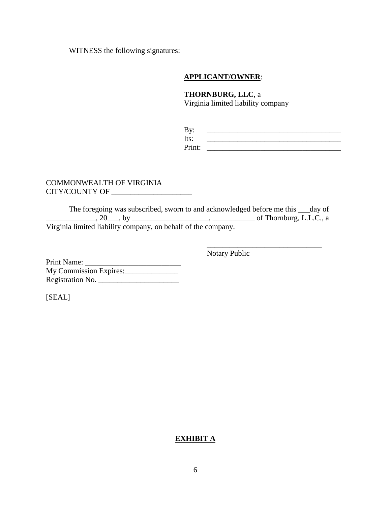WITNESS the following signatures:

#### **APPLICANT/OWNER**:

**THORNBURG, LLC**, a Virginia limited liability company

| By:    |  |
|--------|--|
| Its:   |  |
| Print: |  |

\_\_\_\_\_\_\_\_\_\_\_\_\_\_\_\_\_\_\_\_\_\_\_\_\_\_\_\_\_\_

#### COMMONWEALTH OF VIRGINIA CITY/COUNTY OF \_\_\_\_\_\_\_\_\_\_\_\_\_\_\_\_\_\_\_\_\_

The foregoing was subscribed, sworn to and acknowledged before me this \_\_\_day of \_\_\_\_\_\_\_\_\_\_\_\_\_, 20\_\_\_, by \_\_\_\_\_\_\_\_\_\_\_\_\_\_\_\_\_\_\_\_, \_\_\_\_\_\_\_\_\_\_\_ of Thornburg, L.L.C., a Virginia limited liability company, on behalf of the company.

Notary Public

Print Name: \_\_\_\_\_\_\_\_\_\_\_\_\_\_\_\_\_\_\_\_\_\_\_\_\_ My Commission Expires: Registration No.

[SEAL]

## **EXHIBIT A**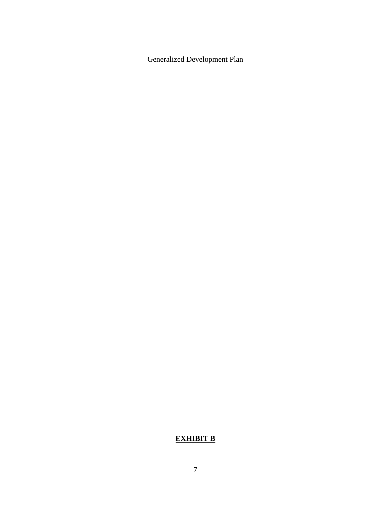Generalized Development Plan

# **EXHIBIT B**